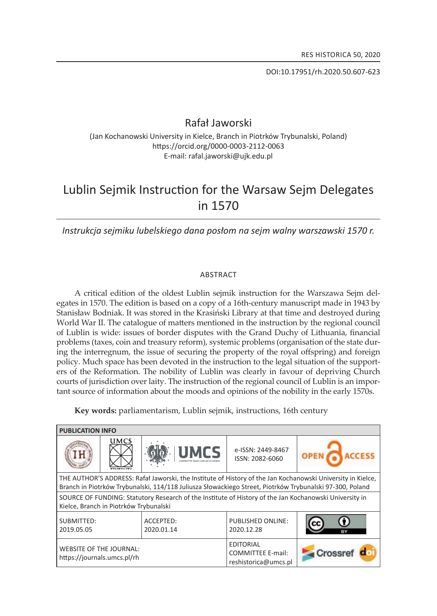DOI:10.17951/rh.2020.50.607-623

# Rafał Jaworski

(Jan Kochanowski University in Kielce, Branch in Piotrków Trybunalski, Poland) https://orcid.org/0000-0003-2112-0063 E-mail: rafal.jaworski@ujk.edu.pl

# Lublin Sejmik Instruction for the Warsaw Sejm Delegates in 1570

*Instrukcja sejmiku lubelskiego dana posłom na sejm walny warszawski 1570 r.*

#### **ABSTRACT**

A critical edition of the oldest lublin sejmik instruction for the Warszawa Sejm delegates in 1570. The edition is based on a copy of a 16th-century manuscript made in 1943 by stanisław Bodniak. it was stored in the krasiński library at that time and destroyed during World War II. The catalogue of matters mentioned in the instruction by the regional council of lublin is wide: issues of border disputes with the Grand Duchy of lithuania, financial problems (taxes, coin and treasury reform), systemic problems (organisation of the state during the interregnum, the issue of securing the property of the royal offspring) and foreign policy . Much space has been devoted in the instruction to the legal situation of the supporters of the Reformation. the nobility of lublin was clearly in favour of depriving church courts of jurisdiction over laity . The instruction of the regional council of lublin is an important source of information about the moods and opinions of the nobility in the early  $1570s$ .

**Key words:** parliamentarism, lublin sejmik, instructions, 16th century

| <b>PUBLICATION INFO</b>                                                                                                                                                                                                 |             |                         |                                                                      |         |
|-------------------------------------------------------------------------------------------------------------------------------------------------------------------------------------------------------------------------|-------------|-------------------------|----------------------------------------------------------------------|---------|
|                                                                                                                                                                                                                         | <b>UMCS</b> | <b>UMCS</b>             | e-ISSN: 2449-8467<br>ISSN: 2082-6060                                 |         |
| THE AUTHOR'S ADDRESS: Rafał Jaworski, the Institute of History of the Jan Kochanowski University in Kielce,<br>Branch in Piotrków Trybunalski, 114/118 Juliusza Słowackiego Street, Piotrków Trybunalski 97-300, Poland |             |                         |                                                                      |         |
| SOURCE OF FUNDING: Statutory Research of the Institute of History of the Jan Kochanowski University in<br>Kielce, Branch in Piotrków Trybunalski                                                                        |             |                         |                                                                      |         |
| SUBMITTED:<br>2019.05.05                                                                                                                                                                                                |             | ACCEPTED:<br>2020.01.14 | <b>PUBLISHED ONLINE:</b><br>2020.12.28                               | cс      |
| <b>WEBSITE OF THE JOURNAL:</b><br>https://journals.umcs.pl/rh                                                                                                                                                           |             |                         | <b>EDITORIAL</b><br><b>COMMITTEE E-mail:</b><br>reshistorica@umcs.pl | Crossre |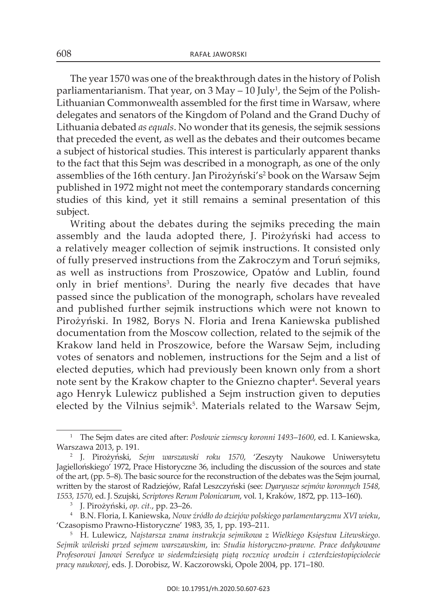The year 1570 was one of the breakthrough dates in the history of Polish parliamentarianism. That year, on 3 May – 10 July<sup>1</sup>, the Sejm of the Polishlithuanian commonwealth assembled for the first time in warsaw, where delegates and senators of the kingdom of Poland and the Grand Duchy of Lithuania debated *as equals*. No wonder that its genesis, the sejmik sessions that preceded the event, as well as the debates and their outcomes became a subject of historical studies. This interest is particularly apparent thanks to the fact that this Sejm was described in a monograph, as one of the only assemblies of the 16th century. Jan Pirożyński's<sup>2</sup> book on the Warsaw Sejm published in 1972 might not meet the contemporary standards concerning studies of this kind, yet it still remains a seminal presentation of this subject.

Writing about the debates during the sejmiks preceding the main assembly and the lauda adopted there, j. Pirożyński had access to a relatively meager collection of sejmik instructions . it consisted only of fully preserved instructions from the Zakroczym and Toruń sejmiks, as well as instructions from Proszowice, Opatów and Lublin, found only in brief mentions<sup>3</sup>. During the nearly five decades that have passed since the publication of the monograph, scholars have revealed and published further sejmik instructions which were not known to Pirożyński. In 1982, Borys N. Floria and Irena Kaniewska published documentation from the Moscow collection, related to the sejmik of the krakow land held in Proszowice, before the warsaw sejm, including votes of senators and noblemen, instructions for the sejm and a list of elected deputies, which had previously been known only from a short note sent by the Krakow chapter to the Gniezno chapter<sup>4</sup>. Several years ago Henryk lulewicz published a Sejm instruction given to deputies elected by the Vilnius sejmik<sup>5</sup>. Materials related to the Warsaw Sejm,

<sup>&</sup>lt;sup>1</sup> The Sejm dates are cited after: *Posłowie ziemscy koronni 1493–1600*, ed. I. Kaniewska, warszawa 2013, p. 191.

<sup>&</sup>lt;sup>2</sup> J. Pirożyński, Sejm warszawski roku 1570, 'Zeszyty Naukowe Uniwersytetu jagiellońskiego' 1972, Prace Historyczne 36, including the discussion of the sources and state of the art, (pp. 5–8). The basic source for the reconstruction of the debates was the Sejm journal, written by the starost of Radziejów, Rafał leszczyński (see: *Dyaryusze sejmów koronnych 1548, 1553, 1570*, ed. j. szujski, *Scriptores Rerum Polonicarum*, vol. 1, kraków, 1872, pp. 113–160).

<sup>&</sup>lt;sup>3</sup> J. Pirożyński, op. cit., pp. 23–26.

<sup>4</sup>B.n. Floria, i. kaniewska, *Nowe źródło do dziejów polskiego parlamentaryzmu XVI wieku*, 'czasopismo Prawno-Historyczne' 1983, 35, 1, pp. 193–211.

<sup>5</sup>H. lulewicz, *Najstarsza znana instrukcja sejmikowa z Wielkiego Księstwa Litewskiego. Sejmik wileński przed sejmem warszawskim*, in: *Studia historyczno-prawne. Prace dedykowane Profesorowi Janowi Seredyce w siedemdziesiątą piątą rocznicę urodzin i czterdziestopięciolecie pracy naukowej*, eds. j. Dorobisz, w. kaczorowski, opole 2004, pp. 171–180.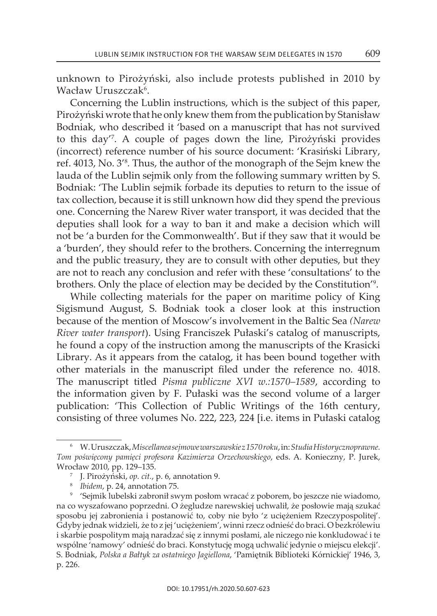unknown to Pirożyński, also include protests published in 2010 by Wacław Uruszczak<sup>6</sup>.

concerning the lublin instructions, which is the subject of this paper, Pirożyński wrote that he only knew them from the publication by stanisław Bodniak, who described it 'based on a manuscript that has not survived to this day'<sup>7</sup>. A couple of pages down the line, Pirożyński provides (incorrect) reference number of his source document: 'krasiński library, ref. 4013, No. 3<sup>'s</sup>. Thus, the author of the monograph of the Sejm knew the lauda of the Lublin sejmik only from the following summary written by S. Bodniak: 'The Lublin sejmik forbade its deputies to return to the issue of tax collection, because it is still unknown how did they spend the previous one. Concerning the Narew River water transport, it was decided that the deputies shall look for a way to ban it and make a decision which will not be 'a burden for the commonwealth'. But if they saw that it would be a 'burden', they should refer to the brothers. concerning the interregnum and the public treasury, they are to consult with other deputies, but they are not to reach any conclusion and refer with these 'consultations' to the brothers. Only the place of election may be decided by the Constitution'<sup>9</sup>.

while collecting materials for the paper on maritime policy of king sigismund august, s. Bodniak took a closer look at this instruction because of the mention of Moscow's involvement in the Baltic Sea *(Narew River water transport*). Using Franciszek Pułaski's catalog of manuscripts, he found a copy of the instruction among the manuscripts of the krasicki Library. As it appears from the catalog, it has been bound together with other materials in the manuscript filed under the reference no. 4018. The manuscript titled *Pisma publiczne XVI w.:1570–1589*, according to the information given by F. Pułaski was the second volume of a larger publication: 'This Collection of Public Writings of the 16th century, consisting of three volumes No. 222, 223, 224 [i.e. items in Pułaski catalog

<sup>6</sup>w. Uruszczak, *Miscellanea sejmowe warszawskie z 1570 roku*, in: *Studia Historycznoprawne. Tom poświęcony pamięci profesora Kazimierza Orzechowskiego*, eds. a. konieczny, P. jurek, wrocław 2010, pp. 129–135.

<sup>7</sup>j. Pirożyński, *op. cit.*, p. 6, annotation 9.

<sup>8</sup>*Ibidem*, p. 24, annotation 75.

<sup>9</sup>'sejmik lubelski zabronił swym posłom wracać z poborem, bo jeszcze nie wiadomo, na co wyszafowano poprzedni. o żegludze narewskiej uchwalił, że posłowie mają szukać sposobu jej zabronienia i postanowić to, coby nie było 'z uciężeniem Rzeczypospolitej'. Gdyby jednak widzieli, że to z jej 'uciężeniem', winni rzecz odnieść do braci. o bezkrólewiu i skarbie pospolitym mają naradzać się z innymi posłami, ale niczego nie konkludować i te wspólne 'namowy' odnieść do braci. konstytucję mogą uchwalić jedynie o miejscu elekcji'. s. Bodniak, *Polska a Bałtyk za ostatniego Jagiellona*, 'Pamiętnik Biblioteki kórnickiej' 1946, 3, p. 226.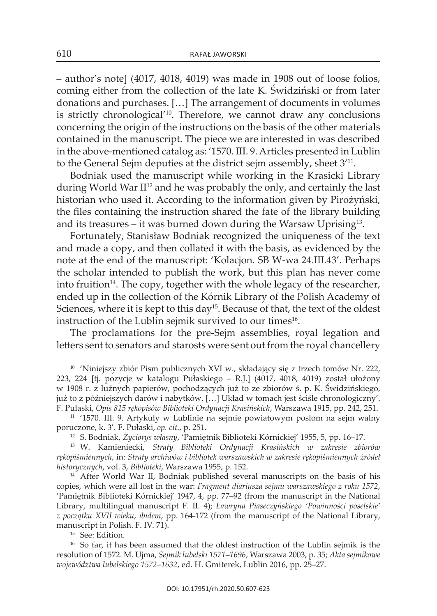– author's note] (4017, 4018, 4019) was made in 1908 out of loose folios, coming either from the collection of the late k. Świdziński or from later donations and purchases. [...] The arrangement of documents in volumes is strictly chronological $110$ . Therefore, we cannot draw any conclusions concerning the origin of the instructions on the basis of the other materials contained in the manuscript. The piece we are interested in was described in the above-mentioned catalog as: '1570. III. 9. Articles presented in Lublin to the General Sejm deputies at the district sejm assembly, sheet  $3<sup>11</sup>$ .

Bodniak used the manuscript while working in the krasicki library during World War II<sup>12</sup> and he was probably the only, and certainly the last historian who used it. According to the information given by Pirożyński, the files containing the instruction shared the fate of the library building and its treasures – it was burned down during the Warsaw Uprising<sup>13</sup>.

Fortunately, stanisław Bodniak recognized the uniqueness of the text and made a copy, and then collated it with the basis, as evidenced by the note at the end of the manuscript: 'Kolacjon. SB W-wa 24.III.43'. Perhaps the scholar intended to publish the work, but this plan has never come into fruition<sup>14</sup>. The copy, together with the whole legacy of the researcher, ended up in the collection of the Kórnik Library of the Polish Academy of Sciences, where it is kept to this day<sup>15</sup>. Because of that, the text of the oldest instruction of the Lublin sejmik survived to our times<sup>16</sup>.

The proclamations for the pre-Sejm assemblies, royal legation and letters sent to senators and starosts were sent out from the royal chancellery

<sup>14</sup> After World War II, Bodniak published several manuscripts on the basis of his copies, which were all lost in the war: *Fragment diariusza sejmu warszawskiego z roku 1572*, 'Pamiętnik Biblioteki Kórnickiej' 1947, 4, pp. 77-92 (from the manuscript in the National library, multilingual manuscript F. ii. 4); *Ławryna Piaseczyńskiego 'Powinności poselskie' z początku XVII wieku*, *ibidem*, pp. 164-172 (from the manuscript of the national library, manuscript in Polish. F. iv. 71).

<sup>15</sup> See: Edition.

<sup>16</sup> So far, it has been assumed that the oldest instruction of the Lublin sejmik is the resolution of 1572. M. Ujma, *Sejmik lubelski 1571*–*1696*, warszawa 2003, p. 35; *Akta sejmikowe województwa lubelskiego 1572–1632*, ed. H. Gmiterek, lublin 2016, pp. 25–27.

<sup>&</sup>lt;sup>10</sup> 'Niniejszy zbiór Pism publicznych XVI w., składający się z trzech tomów Nr. 222, 223, 224 [tj. pozycje w katalogu Pułaskiego – R.j.] (4017, 4018, 4019) został ułożony w 1908 r. z luźnych papierów, pochodzących już to ze zbiorów ś. p. k. Świdzińskiego, już to z późniejszych darów i nabytków. […] Układ w tomach jest ściśle chronologiczny'. F. Pułaski, *Opis 815 rękopisów Biblioteki Ordynacji Krasińskich*, warszawa 1915, pp. 242, 251.

<sup>11</sup> '1570. iii. 9. artykuły w lublinie na sejmie powiatowym posłom na sejm walny poruczone, k. 3'. F. Pułaski, *op. cit.*, p. 251.

<sup>12</sup> s. Bodniak, *Życiorys własny*, 'Pamiętnik Biblioteki kórnickiej' 1955, 5, pp. 16–17.

<sup>13</sup> w. kamieniecki, *Straty Biblioteki Ordynacji Krasińskich w zakresie zbiorów rękopiśmiennych*, in: *Straty archiwów i bibliotek warszawskich w zakresie rękopiśmiennych źródeł historycznych*, vol. 3, *Biblioteki*, warszawa 1955, p. 152.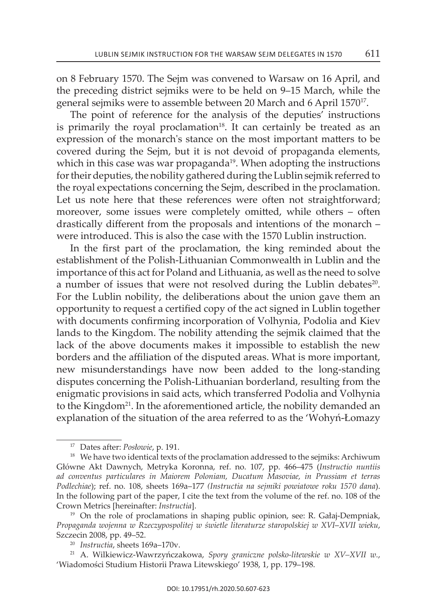on 8 February 1570. The Sejm was convened to Warsaw on 16 April, and the preceding district sejmiks were to be held on 9–15 March, while the general sejmiks were to assemble between 20 March and 6 April 1570<sup>17</sup>.

The point of reference for the analysis of the deputies' instructions is primarily the royal proclamation $18$ . It can certainly be treated as an expression of the monarch's stance on the most important matters to be covered during the Sejm, but it is not devoid of propaganda elements, which in this case was war propaganda<sup>19</sup>. When adopting the instructions for their deputies, the nobility gathered during the lublin sejmik referred to the royal expectations concerning the sejm, described in the proclamation. Let us note here that these references were often not straightforward; moreover, some issues were completely omitted, while others – often drastically different from the proposals and intentions of the monarch – were introduced. This is also the case with the 1570 Lublin instruction.

In the first part of the proclamation, the king reminded about the establishment of the Polish-lithuanian commonwealth in lublin and the importance of this act for Poland and lithuania, as well as the need to solve a number of issues that were not resolved during the Lublin debates<sup>20</sup>. For the lublin nobility, the deliberations about the union gave them an opportunity to request a certified copy of the act signed in lublin together with documents confirming incorporation of volhynia, Podolia and kiev lands to the Kingdom. The nobility attending the sejmik claimed that the lack of the above documents makes it impossible to establish the new borders and the affiliation of the disputed areas. what is more important, new misunderstandings have now been added to the long-standing disputes concerning the Polish-lithuanian borderland, resulting from the enigmatic provisions in said acts, which transferred Podolia and volhynia to the Kingdom<sup>21</sup>. In the aforementioned article, the nobility demanded an explanation of the situation of the area referred to as the 'wohyń-łomazy

<sup>17</sup> Dates after: *Posłowie*, p. 191.

 $18$  We have two identical texts of the proclamation addressed to the sejmiks: Archiwum Główne akt Dawnych, Metryka koronna, ref. no. 107, pp. 466–475 (*Instructio nuntiis ad conventus particulares in Maiorem Poloniam, Ducatum Masoviae, in Prussiam et terras Podlechiae*); ref. no. 108, sheets 169a–177 *(Instructia na sejmiki powiatowe roku 1570 dana*) . In the following part of the paper, I cite the text from the volume of the ref. no. 108 of the crown Metrics [hereinafter: *Instructia*].

<sup>&</sup>lt;sup>19</sup> On the role of proclamations in shaping public opinion, see: R. Gałaj-Dempniak, *Propaganda wojenna w Rzeczypospolitej w świetle literaturze staropolskiej w XVI*–*XVII wieku*, szczecin 2008, pp. 49–52.

<sup>20</sup> *Instructia*, sheets 169a–170v.

<sup>21</sup> a. wilkiewicz-wawrzyńczakowa, *Spory graniczne polsko-litewskie w XV–XVII w.*, 'wiadomości studium Historii Prawa litewskiego' 1938, 1, pp. 179–198.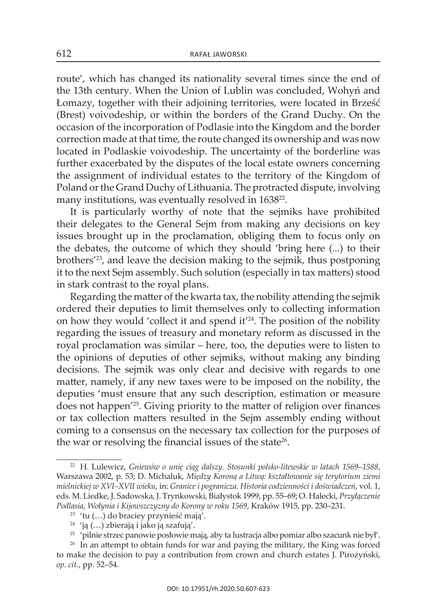route', which has changed its nationality several times since the end of the 13th century. when the Union of lublin was concluded, wohyń and łomazy, together with their adjoining territories, were located in Brześć (Brest) voivodeship, or within the borders of the Grand Duchy. On the occasion of the incorporation of Podlasie into the kingdom and the border correction made at that time, the route changed its ownership and was now located in Podlaskie voivodeship. The uncertainty of the borderline was further exacerbated by the disputes of the local estate owners concerning the assignment of individual estates to the territory of the kingdom of Poland or the Grand Duchy of Lithuania. The protracted dispute, involving many institutions, was eventually resolved in 1638<sup>22</sup>.

It is particularly worthy of note that the sejmiks have prohibited their delegates to the General Sejm from making any decisions on key issues brought up in the proclamation, obliging them to focus only on the debates, the outcome of which they should 'bring here (...) to their brothers'23, and leave the decision making to the sejmik, thus postponing it to the next Sejm assembly. Such solution (especially in tax matters) stood in stark contrast to the royal plans.

Regarding the matter of the kwarta tax, the nobility attending the sejmik ordered their deputies to limit themselves only to collecting information on how they would 'collect it and spend it'24 . The position of the nobility regarding the issues of treasury and monetary reform as discussed in the royal proclamation was similar – here, too, the deputies were to listen to the opinions of deputies of other sejmiks, without making any binding decisions. The sejmik was only clear and decisive with regards to one matter, namely, if any new taxes were to be imposed on the nobility, the deputies 'must ensure that any such description, estimation or measure does not happen'25*.* Giving priority to the matter of religion over finances or tax collection matters resulted in the sejm assembly ending without coming to a consensus on the necessary tax collection for the purposes of the war or resolving the financial issues of the state<sup>26</sup>.

<sup>&</sup>lt;sup>22</sup> H. Lulewicz, Gniewów o unię ciąg dalszy. Stosunki polsko-litewskie w latach 1569–1588, warszawa 2002, p. 53; D. Michaluk, *Między Koroną a Litwą: kształtowanie się terytorium ziemi mielnickiej w XVI–XVII wieku*, in: *Granice i pogranicza. Historia codzienności i doświadczeń*, vol. 1, eds. M. liedke, j. sadowska, j. trynkowski, Białystok 1999, pp. 55–69; o. Halecki, *Przyłączenie Podlasia, Wołynia i Kijowszczyzny do Korony w roku 1569*, kraków 1915, pp. 230–231.

<sup>23</sup> 'tu (…) do braciey przynieść mają'.

<sup>24</sup> 'ją (…) zbierają i jako ją szafują'.

<sup>25</sup> 'pilnie strzec panowie posłowie mają, aby ta lustracja albo pomiar albo szacunk nie był'.

<sup>&</sup>lt;sup>26</sup> In an attempt to obtain funds for war and paying the military, the King was forced to make the decision to pay a contribution from crown and church estates j. Pirożyński, *op. cit.*, pp. 52–54.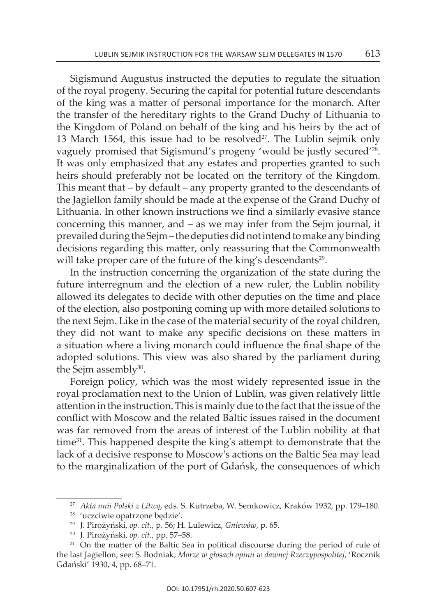Sigismund Augustus instructed the deputies to regulate the situation of the royal progeny . Securing the capital for potential future descendants of the king was a matter of personal importance for the monarch. after the transfer of the hereditary rights to the Grand Duchy of lithuania to the kingdom of Poland on behalf of the king and his heirs by the act of 13 March 1564, this issue had to be resolved $2^7$ . The Lublin sejmik only vaguely promised that Sigismund's progeny 'would be justly secured'<sup>28</sup>. It was only emphasized that any estates and properties granted to such heirs should preferably not be located on the territory of the kingdom. This meant that – by default – any property granted to the descendants of the Jagiellon family should be made at the expense of the Grand Duchy of Lithuania. In other known instructions we find a similarly evasive stance concerning this manner, and  $-$  as we may infer from the Sejm journal, it prevailed during the Sejm – the deputies did not intend to make any binding decisions regarding this matter, only reassuring that the commonwealth will take proper care of the future of the king's descendants<sup>29</sup>.

In the instruction concerning the organization of the state during the future interregnum and the election of a new ruler, the lublin nobility allowed its delegates to decide with other deputies on the time and place of the election, also postponing coming up with more detailed solutions to the next Sejm. Like in the case of the material security of the royal children, they did not want to make any specific decisions on these matters in a situation where a living monarch could influence the final shape of the adopted solutions. This view was also shared by the parliament during the Sejm assembly $30$ .

Foreign policy, which was the most widely represented issue in the royal proclamation next to the Union of lublin, was given relatively little attention in the instruction. This is mainly due to the fact that the issue of the conflict with Moscow and the related Baltic issues raised in the document was far removed from the areas of interest of the lublin nobility at that time<sup>31</sup>. This happened despite the king's attempt to demonstrate that the lack of a decisive response to Moscow's actions on the Baltic Sea may lead to the marginalization of the port of Gdańsk, the consequences of which

<sup>&</sup>lt;sup>27</sup> Akta unii Polski z Litwą, eds. S. Kutrzeba, W. Semkowicz, Kraków 1932, pp. 179-180.

<sup>28</sup> 'uczciwie opatrzone będzie'.

<sup>&</sup>lt;sup>29</sup> J. Pirożyński, op. cit., p. 56; H. Lulewicz, Gniewów, p. 65.

<sup>30</sup> j. Pirożyński, *op. cit.*, pp. 57–58.

<sup>&</sup>lt;sup>31</sup> On the matter of the Baltic Sea in political discourse during the period of rule of the last jagiellon, see: s. Bodniak, *Morze w głosach opinii w dawnej Rzeczypospolitej*, 'Rocznik Gdański' 1930, 4, pp. 68–71.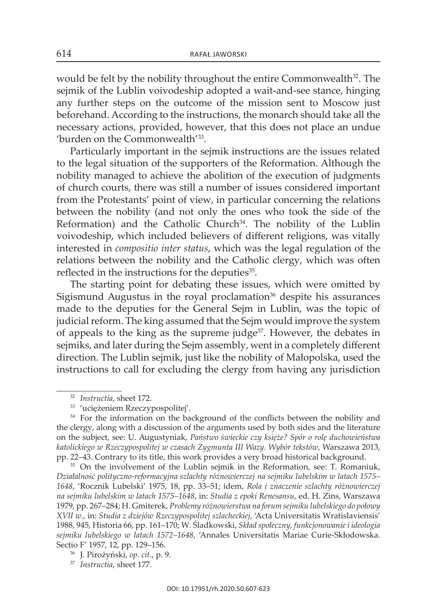would be felt by the nobility throughout the entire Commonwealth<sup>32</sup>. The seimik of the Lublin voivodeship adopted a wait-and-see stance, hinging any further steps on the outcome of the mission sent to Moscow just beforehand. According to the instructions, the monarch should take all the necessary actions, provided, however, that this does not place an undue 'burden on the commonwealth'33 .

Particularly important in the sejmik instructions are the issues related to the legal situation of the supporters of the reformation . Although the nobility managed to achieve the abolition of the execution of judgments of church courts, there was still a number of issues considered important from the Protestants' point of view, in particular concerning the relations between the nobility (and not only the ones who took the side of the Reformation) and the Catholic Church<sup>34</sup>. The nobility of the Lublin voivodeship, which included believers of different religions, was vitally interested in *compositio inter status*, which was the legal regulation of the relations between the nobility and the catholic clergy, which was often reflected in the instructions for the deputies<sup>35</sup>.

The starting point for debating these issues, which were omitted by Sigismund Augustus in the royal proclamation $36$  despite his assurances made to the deputies for the General sejm in lublin, was the topic of judicial reform. The king assumed that the Sejm would improve the system of appeals to the king as the supreme judge37. However, the debates in sejmiks, and later during the Sejm assembly, went in a completely different direction. The Lublin sejmik, just like the nobility of Małopolska, used the instructions to call for excluding the clergy from having any jurisdiction

<sup>32</sup> *Instructia*, sheet 172.

<sup>33</sup> 'uciężeniem Rzeczypospolitej'.

<sup>&</sup>lt;sup>34</sup> For the information on the background of the conflicts between the nobility and the clergy, along with a discussion of the arguments used by both sides and the literature on the subject, see: U. augustyniak, *Państwo świeckie czy księże? Spór o rolę duchowieństwa katolickiego w Rzeczypospolitej w czasach Zygmunta III Wazy. Wybór tekstów*, warszawa 2013, pp. 22–43. contrary to its title, this work provides a very broad historical background.

<sup>&</sup>lt;sup>35</sup> On the involvement of the Lublin sejmik in the Reformation, see: T. Romaniuk, *Działalność polityczno-reformacyjna szlachty różnowierczej na sejmiku lubelskim w latach 1575– 1648*, 'Rocznik lubelski' 1975, 18, pp. 33–51; idem, *Rola i znaczenie szlachty różnowierczej na sejmiku lubelskim w latach 1575–1648*, in: *Studia z epoki Renesansu*, ed. H. zins, warszawa 1979, pp. 267–284; H. Gmiterek, *Problemy różnowierstwa na forum sejmiku lubelskiego do połowy XVII w.*, in: *Studia z dziejów Rzeczypospolitej szlacheckiej*, 'acta Universitatis wratislaviensis' 1988, 945, Historia 66, pp. 161–170; w. Śladkowski, *Skład społeczny, funkcjonowanie i ideologia sejmiku lubelskiego w latach 1572–1648*, 'annales Universitatis Mariae curie-skłodowska. sectio F' 1957, 12, pp. 129–156.

<sup>36</sup> j. Pirożyński, *op. cit.*, p. 9.

<sup>37</sup> *Instructia*, sheet 177.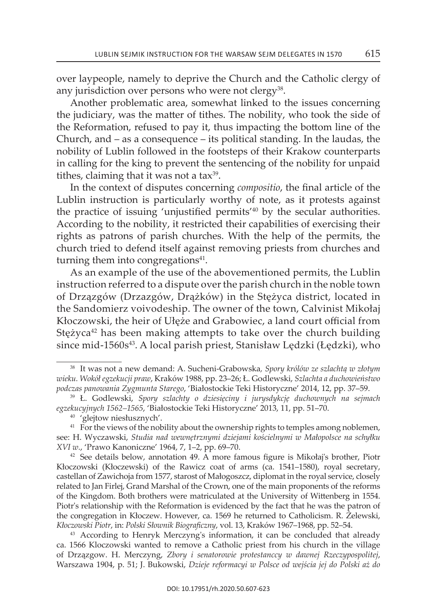over laypeople, namely to deprive the church and the catholic clergy of any jurisdiction over persons who were not clergy<sup>38</sup>.

another problematic area, somewhat linked to the issues concerning the judiciary, was the matter of tithes. The nobility, who took the side of the Reformation, refused to pay it, thus impacting the bottom line of the church, and – as a consequence – its political standing. in the laudas, the nobility of lublin followed in the footsteps of their krakow counterparts in calling for the king to prevent the sentencing of the nobility for unpaid tithes, claiming that it was not a tax $39$ .

in the context of disputes concerning *compositio*, the final article of the lublin instruction is particularly worthy of note, as it protests against the practice of issuing 'unjustified permits'<sup>40</sup> by the secular authorities. according to the nobility, it restricted their capabilities of exercising their rights as patrons of parish churches. with the help of the permits, the church tried to defend itself against removing priests from churches and turning them into congregations $41$ .

as an example of the use of the abovementioned permits, the lublin instruction referred to a dispute over the parish church in the noble town of Drzązgów (Drzazgów, Drążków) in the stężyca district, located in the Sandomierz voivodeship. The owner of the town, Calvinist Mikołaj kłoczowski, the heir of Ułęże and Grabowiec, a land court official from Stężyca $42$  has been making attempts to take over the church building since mid-1560s<sup>43</sup>. A local parish priest, Stanisław Lędzki (Łędzki), who

<sup>&</sup>lt;sup>38</sup> It was not a new demand: A. Sucheni-Grabowska, Spory królów ze szlachtą w złotym *wieku. Wokół egzekucji praw*, kraków 1988, pp. 23–26; ł. Godlewski, *Szlachta a duchowieństwo podczas panowania Zygmunta Starego*, 'Białostockie teki Historyczne' 2014, 12, pp. 37–59.

<sup>39</sup> ł. Godlewski, *Spory szlachty o dziesięciny i jurysdykcję duchownych na sejmach egzekucyjnych 1562–1565*, 'Białostockie teki Historyczne' 2013, 11, pp. 51–70.

<sup>40</sup> 'glejtow niesłusznych'.

<sup>&</sup>lt;sup>41</sup> For the views of the nobility about the ownership rights to temples among noblemen, see: H. wyczawski, *Studia nad wewnętrznymi dziejami kościelnymi w Małopolsce na schyłku XVI w.*, 'Prawo kanoniczne' 1964, 7, 1–2, pp. 69–70.

<sup>&</sup>lt;sup>42</sup> See details below, annotation 49. A more famous figure is Mikołaj's brother, Piotr kłoczowski (kłoczewski) of the Rawicz coat of arms (ca. 1541–1580), royal secretary, castellan of zawichoja from 1577, starost of Małogoszcz, diplomat in the royal service, closely related to jan Firlej, Grand Marshal of the crown, one of the main proponents of the reforms of the kingdom. Both brothers were matriculated at the University of wittenberg in 1554. Piotr's relationship with the Reformation is evidenced by the fact that he was the patron of the congregation in kłoczew. However, ca. 1569 he returned to catholicism. R. Żelewski, *Kłoczowski Piotr*, in: *Polski Słownik Biograficzny*, vol. 13, kraków 1967–1968, pp. 52–54.

<sup>&</sup>lt;sup>43</sup> According to Henryk Merczyng's information, it can be concluded that already ca. 1566 kloczowski wanted to remove a catholic priest from his church in the village of Drzązgow. H. Merczyng, *Zbory i senatorowie protestanccy w dawnej Rzeczypospolitej*, warszawa 1904, p. 51; j. Bukowski, *Dzieje reformacyi w Polsce od wejścia jej do Polski aż do*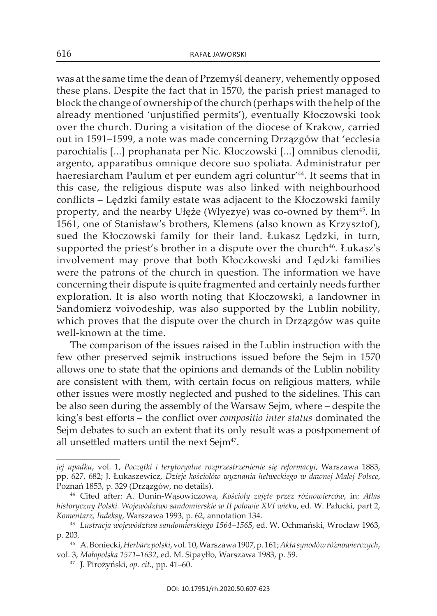was at the same time the dean of Przemyśl deanery, vehemently opposed these plans. Despite the fact that in 1570, the parish priest managed to block the change of ownership of the church (perhaps with the help of the already mentioned 'unjustified permits'), eventually kłoczowski took over the church. During a visitation of the diocese of krakow, carried out in 1591–1599, a note was made concerning Drzązgów that 'ecclesia parochialis [...] prophanata per Nic. Kłoczowski [...] omnibus clenodii, argento, apparatibus omnique decore suo spoliata. administratur per haeresiarcham Paulum et per eundem agri coluntur'44 . it seems that in this case, the religious dispute was also linked with neighbourhood conflicts – lędzki family estate was adjacent to the kłoczowski family property, and the nearby Ułęże (Wlyezye) was co-owned by them<sup>45</sup>. In 1561, one of stanisław's brothers, klemens (also known as krzysztof), sued the kłoczowski family for their land. łukasz lędzki, in turn, supported the priest's brother in a dispute over the church<sup>46</sup>. Łukasz's involvement may prove that both kłoczkowski and lędzki families were the patrons of the church in question. The information we have concerning their dispute is quite fragmented and certainly needs further exploration. It is also worth noting that Kłoczowski, a landowner in sandomierz voivodeship, was also supported by the lublin nobility, which proves that the dispute over the church in Drzązgów was quite well-known at the time.

The comparison of the issues raised in the lublin instruction with the few other preserved sejmik instructions issued before the Sejm in 1570 allows one to state that the opinions and demands of the lublin nobility are consistent with them, with certain focus on religious matters, while other issues were mostly neglected and pushed to the sidelines . This can be also seen during the assembly of the warsaw sejm, where – despite the king's best efforts – the conflict over *compositio inter status* dominated the Sejm debates to such an extent that its only result was a postponement of all unsettled matters until the next Sejm<sup>47</sup>.

*jej upadku*, vol. 1, *Początki i terytoryalne rozprzestrzenienie się reformacyi*, warszawa 1883, pp. 627, 682; j. łukaszewicz, *Dzieje kościołów wyznania helweckiego w dawnej Małej Polsce*, Poznań 1853, p. 329 (Drzązgów, no details).

<sup>44</sup> cited after: a. Dunin-wąsowiczowa, *Kościoły zajęte przez różnowierców*, in: *Atlas historyczny Polski. Województwo sandomierskie w II połowie XVI wieku*, ed. w. Pałucki, part 2, *Komentarz, Indeksy*, warszawa 1993, p. 62, annotation 134.

<sup>45</sup> *Lustracja województwa sandomierskiego 1564*–*1565*, ed. w. ochmański, wrocław 1963, p. 203.

<sup>46</sup> a. Boniecki, *Herbarz polski*, vol. 10, warszawa 1907, p. 161; *Akta synodów różnowierczych*, vol. 3, *Małopolska 1571*–*1632*, ed. M. sipayłło, warszawa 1983, p. 59.

<sup>47</sup> j. Pirożyński, *op. cit.*, pp. 41–60.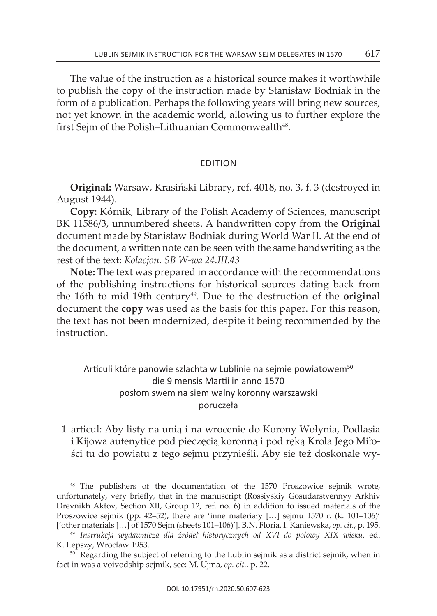The value of the instruction as a historical source makes it worthwhile to publish the copy of the instruction made by stanisław Bodniak in the form of a publication. Perhaps the following years will bring new sources, not yet known in the academic world, allowing us to further explore the first Sejm of the Polish–Lithuanian Commonwealth<sup>48</sup>.

## eDition

**Original:** warsaw, krasiński library, ref. 4018, no. 3, f. 3 (destroyed in August 1944) .

**Copy:** Kórnik, Library of the Polish Academy of Sciences, manuscript BK 11586/3, unnumbered sheets. A handwritten copy from the **Original** document made by stanisław Bodniak during world war ii. at the end of the document, a written note can be seen with the same handwriting as the rest of the text: *Kolacjon. SB W-wa 24.III.43*

**note:** The text was prepared in accordance with the recommendations of the publishing instructions for historical sources dating back from the 16th to mid-19th century49 . Due to the destruction of the **original** document the **copy** was used as the basis for this paper. For this reason, the text has not been modernized, despite it being recommended by the instruction .

## Articuli które panowie szlachta w Lublinie na sejmie powiatowem<sup>50</sup> die 9 mensis Martii in anno 1570 posłom swem na siem walny koronny warszawski poruczeła

 1 articul: aby listy na unią i na wrocenie do korony wołynia, Podlasia i kijowa autenytice pod pieczęcią koronną i pod ręką krola jego Miłości tu do powiatu z tego sejmu przynieśli. aby sie też doskonale wy-

<sup>48</sup> the publishers of the documentation of the 1570 Proszowice sejmik wrote, unfortunately, very briefly, that in the manuscript (Rossiyskiy Gosudarstvennyy arkhiv Drevnikh aktov, section Xii, Group 12, ref. no. 6) in addition to issued materials of the Proszowice sejmik (pp. 42–52), there are 'inne materiały  $[...]$  sejmu 1570 r. (k. 101–106)' ['other materials […] of 1570 sejm (sheets 101–106)']. B.n. Floria, i. kaniewska, *op. cit.*, p. 195.

<sup>49</sup> *Instrukcja wydawnicza dla źródeł historycznych od XVI do połowy XIX wieku*, ed. k. lepszy, wrocław 1953.

<sup>&</sup>lt;sup>50</sup> Regarding the subject of referring to the Lublin sejmik as a district sejmik, when in fact in was a voivodship sejmik, see: M. Ujma, *op. cit.*, p. 22.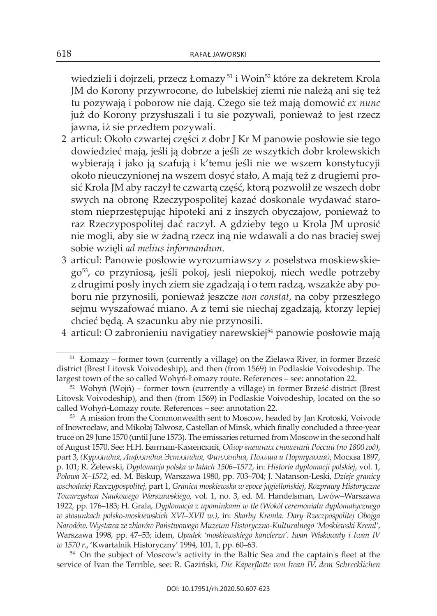wiedzieli i dojrzeli, przecz Łomazy<sup>51</sup> i Woin<sup>52</sup> które za dekretem Krola jM do korony przywrocone, do lubelskiej ziemi nie należą ani się też tu pozywają i poborow nie dają. czego sie też mają domowić *ex nunc* już do korony przysłuszali i tu sie pozywali, ponieważ to jest rzecz jawna, iż sie przedtem pozywali.

- 2 articul: około czwartej części z dobr j kr M panowie posłowie sie tego dowiedzieć mają, jeśli ją dobrze a jeśli ze wszytkich dobr krolewskich wybierają i jako ją szafują i k'temu jeśli nie we wszem konstytucyji około nieuczynionej na wszem dosyć stało, a mają też z drugiemi prosić krola jM aby raczył te czwartą część, ktorą pozwolił ze wszech dobr swych na obronę Rzeczypospolitej kazać doskonale wydawać starostom nieprzestępując hipoteki ani z inszych obyczajow, ponieważ to raz Rzeczypospolitej dać raczył. A gdzieby tego u Krola JM uprosić nie mogli, aby sie w żadną rzecz iną nie wdawali a do nas braciej swej sobie wzięli *ad melius informandum* .
- 3 articul: Panowie posłowie wyrozumiawszy z poselstwa moskiewskiego53, co przyniosą, jeśli pokoj, jesli niepokoj, niech wedle potrzeby z drugimi posły inych ziem sie zgadzają i o tem radzą, wszakże aby poboru nie przynosili, ponieważ jeszcze *non constat*, na coby przeszłego sejmu wyszafować miano. A z temi sie niechaj zgadzają, ktorzy lepiej chcieć będą. A szacunku aby nie przynosili.
- 4 articul: O zabronieniu navigatiey narewskiej<sup>54</sup> panowie posłowie mają

<sup>51</sup> łomazy – former town (currently a village) on the zielawa River, in former Brześć district (Brest litovsk voivodeship), and then (from 1569) in Podlaskie voivodeship. the largest town of the so called wohyń-łomazy route. References – see: annotation 22.

 $52$  Wohyń (Wojń) – former town (currently a village) in former Brześć district (Brest litovsk voivodeship), and then (from 1569) in Podlaskie voivodeship, located on the so called wohyń-łomazy route. References – see: annotation 22.

<sup>&</sup>lt;sup>53</sup> A mission from the Commonwealth sent to Moscow, headed by Jan Krotoski, Voivode of inowrocław, and Mikołaj talwosz, castellan of Minsk, which finally concluded a three-year truce on 29 June 1570 (until June 1573) . The emissaries returned from Moscow in the second half of august 1570. see: Н.Н. Бантыш-Каменский, *Обзор внешних сношений России (по 1800 год)*, part 3, *(Курляндия, Лифляндия Эстляндия, Финляндия, Польша и Португалия)*, Москва 1897, p. 101; R. Żelewski, *Dyplomacja polska w latach 1506–1572*, in: *Historia dyplomacji polskiej*, vol. 1, *Połowa X*–*1572*, ed. M. Biskup, warszawa 1980, pp. 703–704; j. natanson-leski, *Dzieje granicy wschodniej Rzeczypospolitej*, part 1, *Granica moskiewska w epoce jagiellońskiej*, *Rozprawy Historyczne Towarzystwa Naukowego Warszawskiego*, vol. 1, no. 3, ed. M. Handelsman, lwów–warszawa 1922, pp. 176–183; H. Grala, *Dyplomacja z upominkami w tle (Wokół ceremoniału dyplomatycznego w stosunkach polsko-moskiewskich XVI–XVII w.)*, in: *Skarby Kremla. Dary Rzeczpospolitej Obojga Narodów. Wystawa ze zbiorów Państwowego Muzeum Historyczno-Kulturalnego 'Moskiewski Kreml'*, warszawa 1998, pp. 47–53; idem, *Upadek 'moskiewskiego kanclerza'. Iwan Wiskowaty i Iwan IV w 1570 r.*, 'kwartalnik Historyczny' 1994, 101, 1, pp. 60–63.

<sup>&</sup>lt;sup>54</sup> On the subject of Moscow's activity in the Baltic Sea and the captain's fleet at the service of ivan the terrible, see: R. Gaziński, *Die Kaperflotte von Iwan IV. dem Schrecklichen*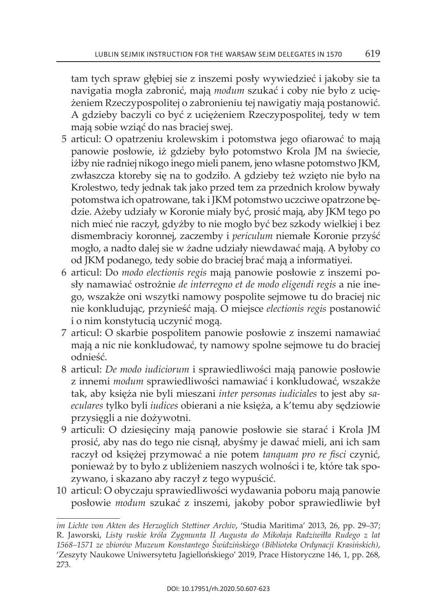tam tych spraw głębiej sie z inszemi posły wywiedzieć i jakoby sie ta navigatia mogła zabronić, mają *modum* szukać i coby nie było z uciężeniem Rzeczypospolitej o zabronieniu tej nawigatiy mają postanowić. a gdzieby baczyli co być z uciężeniem Rzeczypospolitej, tedy w tem mają sobie wziąć do nas braciej swej.

- 5 articul: o opatrzeniu krolewskim i potomstwa jego ofiarować to mają panowie posłowie, iż gdzieby było potomstwo krola jM na świecie, iżby nie radniej nikogo inego mieli panem, jeno własne potomstwo jkM, zwłaszcza ktoreby się na to godziło. A gdzieby też wzięto nie było na krolestwo, tedy jednak tak jako przed tem za przednich krolow bywały potomstwa ich opatrowane, tak i jkM potomstwo uczciwe opatrzone będzie. ażeby udziały w koronie miały być, prosić mają, aby jkM tego po nich mieć nie raczył, gdyżby to nie mogło być bez szkody wielkiej i bez dismembraciy koronnej, zaczemby i *periculum* niemałe koronie przyść mogło, a nadto dalej sie w żadne udziały niewdawać mają. A byłoby co od jkM podanego, tedy sobie do braciej brać mają a informatiyei.
- 6 articul: Do *modo electionis regis* mają panowie posłowie z inszemi posły namawiać ostrożnie *de interregno et de modo eligendi regis* a nie inego, wszakże oni wszytki namowy pospolite sejmowe tu do braciej nic nie konkludując, przynieść mają. o miejsce *electionis regis* postanowić i o nim konstytucią uczynić mogą.
- 7 articul: o skarbie pospolitem panowie posłowie z inszemi namawiać mają a nic nie konkludować, ty namowy spolne sejmowe tu do braciej odnieść.
- 8 articul: *De modo iudiciorum* i sprawiedliwości mają panowie posłowie z innemi *modum* sprawiedliwości namawiać i konkludować, wszakże tak, aby księża nie byli mieszani *inter personas iudiciales* to jest aby *saeculares* tylko byli *iudices* obierani a nie księża, a k'temu aby sędziowie przysięgli a nie dożywotni.
- 9 articuli: o dziesięciny mają panowie posłowie sie starać i krola jM prosić, aby nas do tego nie cisnął, abyśmy je dawać mieli, ani ich sam raczył od księżej przymować a nie potem *tanquam pro re fisci* czynić, ponieważ by to było z ubliżeniem naszych wolności i te, które tak spozywano, i skazano aby raczył z tego wypuścić.
- 10 articul: O obyczaju sprawiedliwości wydawania poboru mają panowie posłowie *modum* szukać z inszemi, jakoby pobor sprawiedliwie był

*im Lichte von Akten des Herzoglich Stettiner Archiv*, 'studia Maritima' 2013, 26, pp. 29–37; R. jaworski, *Listy ruskie króla Zygmunta II Augusta do Mikołaja Radziwiłła Rudego z lat 1568–1571 ze zbiorów Muzeum Konstantego Świdzińskiego (Biblioteka Ordynacji Krasińskich)*, 'Zeszyty Naukowe Uniwersytetu Jagiellońskiego' 2019, Prace Historyczne 146, 1, pp. 268, 273.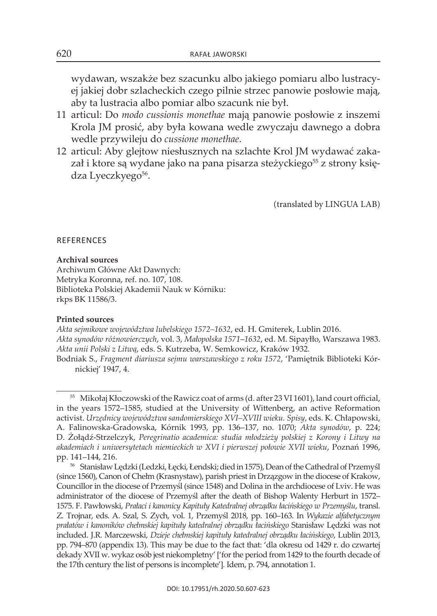wydawan, wszakże bez szacunku albo jakiego pomiaru albo lustracyej jakiej dobr szlacheckich czego pilnie strzec panowie posłowie mają, aby ta lustracia albo pomiar albo szacunk nie był.

- 11 articul: Do *modo cussionis monethae* mają panowie posłowie z inszemi krola jM prosić, aby była kowana wedle zwyczaju dawnego a dobra wedle przywileju do *cussione monethae* .
- 12 articul: aby glejtow niesłusznych na szlachte krol jM wydawać zakazał i ktore są wydane jako na pana pisarza steżyckiego<sup>55</sup> z strony księdza Lyeczkyego<sup>56</sup>.

(translated by LINGUA LAB)

### **REFERENCES**

#### **Archival sources**

archiwum Główne akt Dawnych: Metryka koronna, ref. no. 107, 108. Biblioteka Polskiej Akademii Nauk w Kórniku: rkps Bk 11586/3.

#### **Printed sources**

*Akta sejmikowe województwa lubelskiego 1572–1632*, ed. H. Gmiterek, lublin 2016. *Akta synodów różnowierczych*, vol. 3, *Małopolska 1571*–*1632*, ed. M. sipayłło, warszawa 1983. *Akta unii Polski z Litwą*, eds. s. kutrzeba, w. semkowicz, kraków 1932.

Bodniak s., *Fragment diariusza sejmu warszawskiego z roku 1572*, 'Pamiętnik Biblioteki kórnickiej' 1947, 4.

<sup>&</sup>lt;sup>55</sup> Mikołaj Kłoczowski of the Rawicz coat of arms (d. after 23 VI 1601), land court official, in the years 1572–1585, studied at the University of wittenberg, an active Reformation activist . *Urzędnicy województwa sandomierskiego XVI–XVIII wieku. Spisy*, eds. k. chłapowski, a. Falinowska-Gradowska, kórnik 1993, pp. 136–137, no. 1070; *Akta synodów*, p. 224; D. Żołądź-strzelczyk, *Peregrinatio academica: studia młodzieży polskiej z Korony i Litwy na akademiach i uniwersytetach niemieckich w XVI i pierwszej połowie XVII wieku*, Poznań 1996, pp. 141–144, 216.

<sup>56</sup> stanisław lędzki (ledzki, łęcki, łendski; died in 1575), Dean of the cathedral of Przemyśl (since 1560), canon of chełm (krasnystaw), parish priest in Drzązgow in the diocese of krakow, councillor in the diocese of Przemyśl (since 1548) and Dolina in the archdiocese of lviv. He was administrator of the diocese of Przemyśl after the death of Bishop walenty Herburt in 1572– 1575. F. Pawłowski, *Prałaci i kanonicy Kapituły Katedralnej obrządku łacińskiego w Przemyślu*, transl. z. trojnar, eds. a. szal, s. zych, vol. 1, Przemyśl 2018, pp. 160–163. in *Wykazie alfabetycznym prałatów i kanoników chełmskiej kapituły katedralnej obrządku łacińskiego* stanisław lędzki was not included. j.R. Marczewski, *Dzieje chełmskiej kapituły katedralnej obrządku łacińskiego*, lublin 2013, pp. 794–870 (appendix 13). this may be due to the fact that: 'dla okresu od 1429 r. do czwartej dekady Xvii w. wykaz osób jest niekompletny' ['for the period from 1429 to the fourth decade of the 17th century the list of persons is incomplete']*.* idem, p. 794, annotation 1.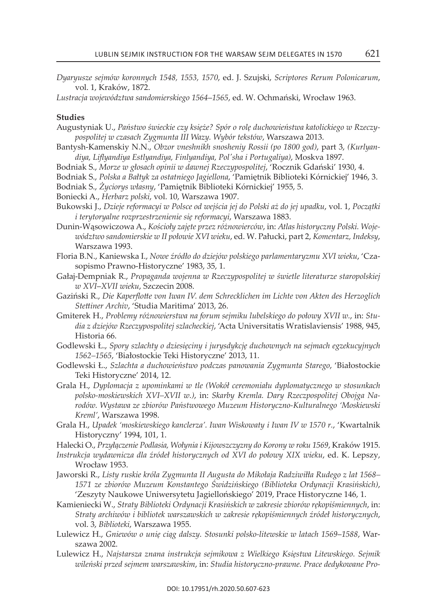*Dyaryusze sejmów koronnych 1548, 1553, 1570*, ed. j. szujski, *Scriptores Rerum Polonicarum*, vol. 1, kraków, 1872.

*Lustracja województwa sandomierskiego 1564*–*1565*, ed. w. ochmański, wrocław 1963.

#### **studies**

- augustyniak U., *Państwo świeckie czy księże? Spór o rolę duchowieństwa katolickiego w Rzeczypospolitej w czasach Zygmunta III Wazy. Wybór tekstów*, warszawa 2013.
- Bantysh-Kamenskiy N.N., Obzor vneshnikh snosheniy Rossii (po 1800 god), part 3, *(Kurlyandiya, Liflyandiya Estlyandiya, Finlyandiya, Pol'sha i Portugaliya)*, Moskva 1897.
- Bodniak s., *Morze w głosach opinii w dawnej Rzeczypospolitej*, 'Rocznik Gdański' 1930, 4.
- Bodniak s., *Polska a Bałtyk za ostatniego Jagiellona*, 'Pamiętnik Biblioteki kórnickiej' 1946, 3. Bodniak s., *Życiorys własny*, 'Pamiętnik Biblioteki kórnickiej' 1955, 5.

Boniecki a., *Herbarz polski*, vol. 10, warszawa 1907.

- Bukowski j., *Dzieje reformacyi w Polsce od wejścia jej do Polski aż do jej upadku*, vol. 1, *Początki i terytoryalne rozprzestrzenienie się reformacyi*, warszawa 1883.
- Dunin-wąsowiczowa a., *Kościoły zajęte przez różnowierców*, in: *Atlas historyczny Polski. Województwo sandomierskie w II połowie XVI wieku*, ed. w. Pałucki, part 2, *Komentarz, Indeksy*, Warszawa 1993.
- Floria B.n., kaniewska i., *Nowe źródło do dziejów polskiego parlamentaryzmu XVI wieku*, 'czasopismo Prawno-Historyczne' 1983, 35, 1.
- Gałaj-Dempniak R., *Propaganda wojenna w Rzeczypospolitej w świetle literaturze staropolskiej w XVI*–*XVII wieku*, szczecin 2008.
- Gaziński R., *Die Kaperflotte von Iwan IV. dem Schrecklichen im Lichte von Akten des Herzoglich Stettiner Archiv*, 'studia Maritima' 2013, 26.
- Gmiterek H., *Problemy różnowierstwa na forum sejmiku lubelskiego do połowy XVII w.*, in: *Studia z dziejów Rzeczypospolitej szlacheckiej*, 'acta Universitatis wratislaviensis' 1988, 945, Historia 66.
- Godlewski ł., *Spory szlachty o dziesięciny i jurysdykcję duchownych na sejmach egzekucyjnych 1562–1565*, 'Białostockie teki Historyczne' 2013, 11.
- Godlewski ł., *Szlachta a duchowieństwo podczas panowania Zygmunta Starego*, 'Białostockie Teki Historyczne' 2014, 12.
- Grala H., *Dyplomacja z upominkami w tle (Wokół ceremoniału dyplomatycznego w stosunkach polsko-moskiewskich XVI–XVII w.)*, in: *Skarby Kremla. Dary Rzeczpospolitej Obojga Narodów. Wystawa ze zbiorów Państwowego Muzeum Historyczno-Kulturalnego 'Moskiewski Kreml'*, warszawa 1998.
- Grala H., *Upadek 'moskiewskiego kanclerza'. Iwan Wiskowaty i Iwan IV w 1570 r.*, 'kwartalnik Historyczny' 1994, 101, 1.
- Halecki o., *Przyłączenie Podlasia, Wołynia i Kijowszczyzny do Korony w roku 1569*, kraków 1915.
- *Instrukcja wydawnicza dla źródeł historycznych od XVI do połowy XIX wieku*, ed. k. lepszy, wrocław 1953.
- jaworski R., *Listy ruskie króla Zygmunta II Augusta do Mikołaja Radziwiłła Rudego z lat 1568– 1571 ze zbiorów Muzeum Konstantego Świdzińskiego (Biblioteka Ordynacji Krasińskich)*, 'zeszyty naukowe Uniwersytetu jagiellońskiego' 2019, Prace Historyczne 146, 1.
- kamieniecki w., *Straty Biblioteki Ordynacji Krasińskich w zakresie zbiorów rękopiśmiennych*, in: *Straty archiwów i bibliotek warszawskich w zakresie rękopiśmiennych źródeł historycznych*, vol. 3, *Biblioteki*, warszawa 1955.
- lulewicz H., *Gniewów o unię ciąg dalszy. Stosunki polsko-litewskie w latach 1569*–*1588*, warszawa 2002 .
- lulewicz H., *Najstarsza znana instrukcja sejmikowa z Wielkiego Księstwa Litewskiego. Sejmik wileński przed sejmem warszawskim*, in: *Studia historyczno-prawne. Prace dedykowane Pro-*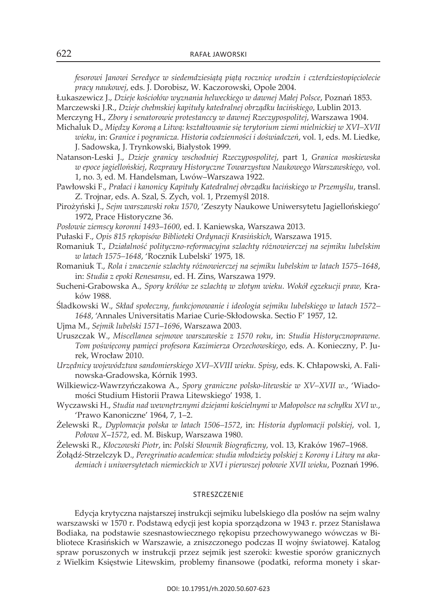*fesorowi Janowi Seredyce w siedemdziesiątą piątą rocznicę urodzin i czterdziestopięciolecie pracy naukowej*, eds. j. Dorobisz, w. kaczorowski, opole 2004.

łukaszewicz j., *Dzieje kościołów wyznania helweckiego w dawnej Małej Polsce*, Poznań 1853.

Marczewski j.R., *Dzieje chełmskiej kapituły katedralnej obrządku łacińskiego*, lublin 2013.

- Merczyng H., *Zbory i senatorowie protestanccy w dawnej Rzeczypospolitej*, warszawa 1904.
- Michaluk D., *Między Koroną a Litwą: kształtowanie się terytorium ziemi mielnickiej w XVI–XVII wieku*, in: *Granice i pogranicza. Historia codzienności i doświadczeń*, vol. 1, eds. M. liedke, J. Sadowska, J. Trynkowski, Białystok 1999.
- natanson-leski j., *Dzieje granicy wschodniej Rzeczypospolitej*, part 1, *Granica moskiewska w epoce jagiellońskiej*, *Rozprawy Historyczne Towarzystwa Naukowego Warszawskiego*, vol. 1, no. 3, ed. M. Handelsman, lwów–warszawa 1922.
- Pawłowski F., *Prałaci i kanonicy Kapituły Katedralnej obrządku łacińskiego w Przemyślu*, transl. Z. Trojnar, eds. A. Szal, S. Zych, vol. 1, Przemyśl 2018.
- Pirożyński j., *Sejm warszawski roku 1570*, 'zeszyty naukowe Uniwersytetu jagiellońskiego' 1972, Prace Historyczne 36.
- *Posłowie ziemscy koronni 1493*–*1600*, ed. i. kaniewska, warszawa 2013.
- Pułaski F., *Opis 815 rękopisów Biblioteki Ordynacji Krasińskich*, warszawa 1915.
- Romaniuk t., *Działalność polityczno-reformacyjna szlachty różnowierczej na sejmiku lubelskim w latach 1575–1648*, 'Rocznik lubelski' 1975, 18.
- Romaniuk t., *Rola i znaczenie szlachty różnowierczej na sejmiku lubelskim w latach 1575–1648*, in: *Studia z epoki Renesansu*, ed. H. zins, warszawa 1979.
- sucheni-Grabowska a.*, Spory królów ze szlachtą w złotym wieku. Wokół egzekucji praw,* kraków 1988.
- Śladkowski w., *Skład społeczny, funkcjonowanie i ideologia sejmiku lubelskiego w latach 1572– 1648*, 'annales Universitatis Mariae curie-skłodowska. sectio F' 1957, 12.
- Ujma M., *Sejmik lubelski 1571*–*1696*, warszawa 2003.
- Uruszczak w., *Miscellanea sejmowe warszawskie z 1570 roku*, in: *Studia Historycznoprawne. Tom poświęcony pamięci profesora Kazimierza Orzechowskiego*, eds. a. konieczny, P. jurek, wrocław 2010.
- *Urzędnicy województwa sandomierskiego XVI–XVIII wieku. Spisy*, eds. k. chłapowski, a. Falinowska-Gradowska, kórnik 1993.
- wilkiewicz-wawrzyńczakowa a., *Spory graniczne polsko-litewskie w XV–XVII w.*, 'Wiadomości studium Historii Prawa litewskiego' 1938, 1.
- wyczawski H., *Studia nad wewnętrznymi dziejami kościelnymi w Małopolsce na schyłku XVI w.*, 'Prawo kanoniczne' 1964, 7, 1–2.
- Żelewski R., *Dyplomacja polska w latach 1506–1572*, in: *Historia dyplomacji polskiej*, vol. 1, *Połowa X*–*1572*, ed. M. Biskup, warszawa 1980.
- Żelewski R., *Kłoczowski Piotr*, in: *Polski Słownik Biograficzny*, vol. 13, kraków 1967–1968.
- Żołądź-strzelczyk D., *Peregrinatio academica: studia młodzieży polskiej z Korony i Litwy na akademiach i uniwersytetach niemieckich w XVI i pierwszej połowie XVII wieku*, Poznań 1996.

#### **STRESZCZENIE**

edycja krytyczna najstarszej instrukcji sejmiku lubelskiego dla posłów na sejm walny warszawski w 1570 r. Podstawą edycji jest kopia sporządzona w 1943 r. przez stanisława Bodiaka, na podstawie szesnastowiecznego rękopisu przechowywanego wówczas w Bibliotece krasińskich w warszawie, a zniszczonego podczas ii wojny światowej. katalog spraw poruszonych w instrukcji przez sejmik jest szeroki: kwestie sporów granicznych z wielkim księstwie litewskim, problemy finansowe (podatki, reforma monety i skar